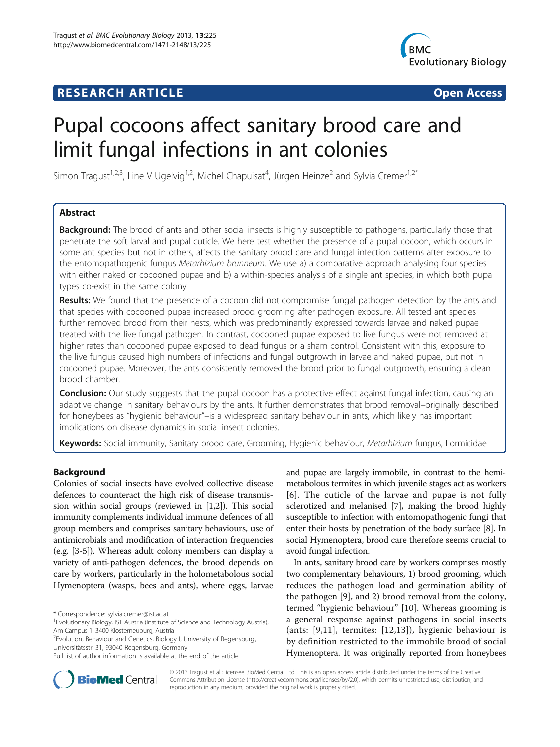# **RESEARCH ARTICLE Example 2014 12:30 The SEAR CHA R TIGGS**



# Pupal cocoons affect sanitary brood care and limit fungal infections in ant colonies

Simon Tragust<sup>1,2,3</sup>, Line V Ugelvig<sup>1,2</sup>, Michel Chapuisat<sup>4</sup>, Jürgen Heinze<sup>2</sup> and Sylvia Cremer<sup>1,2\*</sup>

# Abstract

**Background:** The brood of ants and other social insects is highly susceptible to pathogens, particularly those that penetrate the soft larval and pupal cuticle. We here test whether the presence of a pupal cocoon, which occurs in some ant species but not in others, affects the sanitary brood care and fungal infection patterns after exposure to the entomopathogenic fungus Metarhizium brunneum. We use a) a comparative approach analysing four species with either naked or cocooned pupae and b) a within-species analysis of a single ant species, in which both pupal types co-exist in the same colony.

Results: We found that the presence of a cocoon did not compromise fungal pathogen detection by the ants and that species with cocooned pupae increased brood grooming after pathogen exposure. All tested ant species further removed brood from their nests, which was predominantly expressed towards larvae and naked pupae treated with the live fungal pathogen. In contrast, cocooned pupae exposed to live fungus were not removed at higher rates than cocooned pupae exposed to dead fungus or a sham control. Consistent with this, exposure to the live fungus caused high numbers of infections and fungal outgrowth in larvae and naked pupae, but not in cocooned pupae. Moreover, the ants consistently removed the brood prior to fungal outgrowth, ensuring a clean brood chamber.

**Conclusion:** Our study suggests that the pupal cocoon has a protective effect against fungal infection, causing an adaptive change in sanitary behaviours by the ants. It further demonstrates that brood removal–originally described for honeybees as "hygienic behaviour"–is a widespread sanitary behaviour in ants, which likely has important implications on disease dynamics in social insect colonies.

Keywords: Social immunity, Sanitary brood care, Grooming, Hygienic behaviour, Metarhizium fungus, Formicidae

### Background

Colonies of social insects have evolved collective disease defences to counteract the high risk of disease transmission within social groups (reviewed in [\[1,2](#page-8-0)]). This social immunity complements individual immune defences of all group members and comprises sanitary behaviours, use of antimicrobials and modification of interaction frequencies (e.g. [\[3](#page-8-0)-[5\]](#page-8-0)). Whereas adult colony members can display a variety of anti-pathogen defences, the brood depends on care by workers, particularly in the holometabolous social Hymenoptera (wasps, bees and ants), where eggs, larvae

\* Correspondence: [sylvia.cremer@ist.ac.at](mailto:sylvia.cremer@ist.ac.at) <sup>1</sup>

<sup>2</sup> Evolution, Behaviour and Genetics, Biology I, University of Regensburg, Universitätsstr. 31, 93040 Regensburg, Germany

and pupae are largely immobile, in contrast to the hemimetabolous termites in which juvenile stages act as workers [[6](#page-8-0)]. The cuticle of the larvae and pupae is not fully sclerotized and melanised [\[7](#page-8-0)], making the brood highly susceptible to infection with entomopathogenic fungi that enter their hosts by penetration of the body surface [\[8](#page-8-0)]. In social Hymenoptera, brood care therefore seems crucial to avoid fungal infection.

In ants, sanitary brood care by workers comprises mostly two complementary behaviours, 1) brood grooming, which reduces the pathogen load and germination ability of the pathogen [[9\]](#page-8-0), and 2) brood removal from the colony, termed "hygienic behaviour" [\[10](#page-8-0)]. Whereas grooming is a general response against pathogens in social insects (ants: [[9](#page-8-0),[11\]](#page-8-0), termites: [[12](#page-8-0),[13\]](#page-8-0)), hygienic behaviour is by definition restricted to the immobile brood of social Hymenoptera. It was originally reported from honeybees



© 2013 Tragust et al.; licensee BioMed Central Ltd. This is an open access article distributed under the terms of the Creative Commons Attribution License [\(http://creativecommons.org/licenses/by/2.0\)](http://creativecommons.org/licenses/by/2.0), which permits unrestricted use, distribution, and reproduction in any medium, provided the original work is properly cited.

<sup>&</sup>lt;sup>1</sup> Evolutionary Biology, IST Austria (Institute of Science and Technology Austria), Am Campus 1, 3400 Klosterneuburg, Austria

Full list of author information is available at the end of the article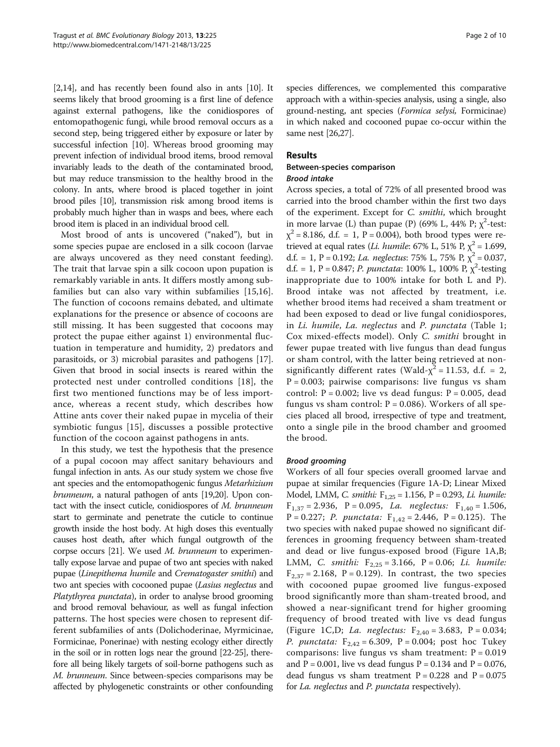[[2,14](#page-8-0)], and has recently been found also in ants [\[10\]](#page-8-0). It seems likely that brood grooming is a first line of defence against external pathogens, like the conidiospores of entomopathogenic fungi, while brood removal occurs as a second step, being triggered either by exposure or later by successful infection [\[10](#page-8-0)]. Whereas brood grooming may prevent infection of individual brood items, brood removal invariably leads to the death of the contaminated brood, but may reduce transmission to the healthy brood in the colony. In ants, where brood is placed together in joint brood piles [\[10\]](#page-8-0), transmission risk among brood items is probably much higher than in wasps and bees, where each brood item is placed in an individual brood cell.

Most brood of ants is uncovered ("naked"), but in some species pupae are enclosed in a silk cocoon (larvae are always uncovered as they need constant feeding). The trait that larvae spin a silk cocoon upon pupation is remarkably variable in ants. It differs mostly among subfamilies but can also vary within subfamilies [[15,16](#page-8-0)]. The function of cocoons remains debated, and ultimate explanations for the presence or absence of cocoons are still missing. It has been suggested that cocoons may protect the pupae either against 1) environmental fluctuation in temperature and humidity, 2) predators and parasitoids, or 3) microbial parasites and pathogens [[17](#page-8-0)]. Given that brood in social insects is reared within the protected nest under controlled conditions [\[18\]](#page-8-0), the first two mentioned functions may be of less importance, whereas a recent study, which describes how Attine ants cover their naked pupae in mycelia of their symbiotic fungus [[15](#page-8-0)], discusses a possible protective function of the cocoon against pathogens in ants.

In this study, we test the hypothesis that the presence of a pupal cocoon may affect sanitary behaviours and fungal infection in ants. As our study system we chose five ant species and the entomopathogenic fungus Metarhizium brunneum, a natural pathogen of ants [\[19,20\]](#page-8-0). Upon contact with the insect cuticle, conidiospores of M. brunneum start to germinate and penetrate the cuticle to continue growth inside the host body. At high doses this eventually causes host death, after which fungal outgrowth of the corpse occurs [\[21](#page-8-0)]. We used M. brunneum to experimentally expose larvae and pupae of two ant species with naked pupae (Linepithema humile and Crematogaster smithi) and two ant species with cocooned pupae (Lasius neglectus and Platythyrea punctata), in order to analyse brood grooming and brood removal behaviour, as well as fungal infection patterns. The host species were chosen to represent different subfamilies of ants (Dolichoderinae, Myrmicinae, Formicinae, Ponerinae) with nesting ecology either directly in the soil or in rotten logs near the ground [[22](#page-8-0)-[25\]](#page-8-0), therefore all being likely targets of soil-borne pathogens such as M. brunneum. Since between-species comparisons may be affected by phylogenetic constraints or other confounding species differences, we complemented this comparative approach with a within-species analysis, using a single, also ground-nesting, ant species (Formica selysi, Formicinae) in which naked and cocooned pupae co-occur within the same nest [\[26,27](#page-8-0)].

### Results

#### Between-species comparison Brood intake

Across species, a total of 72% of all presented brood was carried into the brood chamber within the first two days of the experiment. Except for C. smithi, which brought in more larvae (L) than pupae (P) (69% L, 44% P;  $\chi^2$ -test:  $\chi^2$  = 8.186, d.f. = 1, P = 0.004), both brood types were retrieved at equal rates (*Li. humile*: 67% L, 51% P,  $\chi^2$  = 1.699, d.f. = 1, P = 0.192; La. neglectus: 75% L, 75% P,  $\chi^2$  = 0.037, d.f. = 1, P = 0.847; P. punctata: 100% L, 100% P,  $\chi^2$ -testing<br>inappropriate due to 100% intake for both L and P) inappropriate due to 100% intake for both L and P). Brood intake was not affected by treatment, i.e. whether brood items had received a sham treatment or had been exposed to dead or live fungal conidiospores, in Li. humile, La. neglectus and P. punctata (Table [1](#page-2-0); Cox mixed-effects model). Only C. smithi brought in fewer pupae treated with live fungus than dead fungus or sham control, with the latter being retrieved at nonsignificantly different rates (Wald- $\chi^2$  = 11.53, d.f. = 2,  $P = 0.003$ ; pairwise comparisons: live fungus vs sham control:  $P = 0.002$ ; live vs dead fungus:  $P = 0.005$ , dead fungus vs sham control:  $P = 0.086$ ). Workers of all species placed all brood, irrespective of type and treatment, onto a single pile in the brood chamber and groomed the brood.

#### Brood grooming

Workers of all four species overall groomed larvae and pupae at similar frequencies (Figure [1](#page-2-0)A-D; Linear Mixed Model, LMM, C. smithi:  $F_{1,25} = 1.156$ , P = 0.293, Li. humile:  $F_{1,37} = 2.936$ ,  $P = 0.095$ , *La. neglectus:*  $F_{1,40} = 1.506$ , P = 0.227; P. punctata:  $F_{1,42} = 2.446$ , P = 0.125). The two species with naked pupae showed no significant differences in grooming frequency between sham-treated and dead or live fungus-exposed brood (Figure [1A](#page-2-0),B; LMM, C. smithi:  $F_{2,25} = 3.166$ , P = 0.06; Li. humile:  $F_{2,37} = 2.168$ , P = 0.129). In contrast, the two species with cocooned pupae groomed live fungus-exposed brood significantly more than sham-treated brood, and showed a near-significant trend for higher grooming frequency of brood treated with live vs dead fungus (Figure [1](#page-2-0)C,D; *La. neglectus:*  $F_{2,40} = 3.683$ ,  $P = 0.034$ ; *P. punctata:*  $F_{2,42} = 6.309$ ,  $P = 0.004$ ; post hoc Tukey comparisons: live fungus vs sham treatment:  $P = 0.019$ and  $P = 0.001$ , live vs dead fungus  $P = 0.134$  and  $P = 0.076$ , dead fungus vs sham treatment  $P = 0.228$  and  $P = 0.075$ for La. neglectus and P. punctata respectively).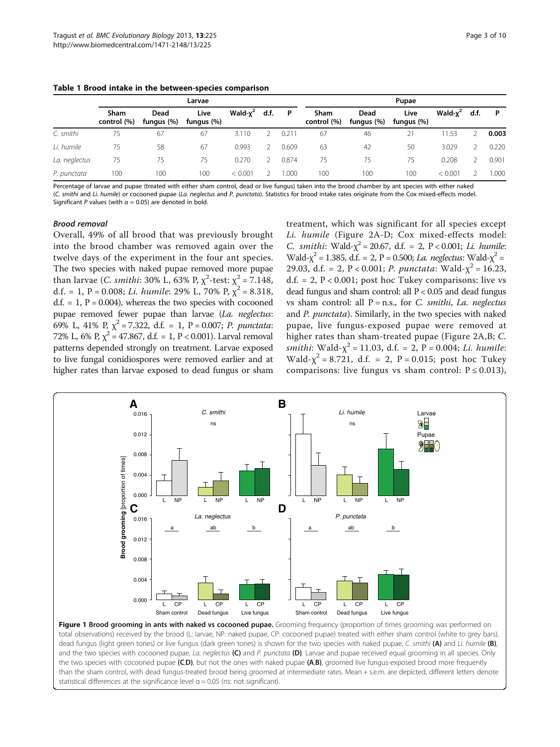<span id="page-2-0"></span>

|  |  |  |  |  |  | Table 1 Brood intake in the between-species comparison |  |
|--|--|--|--|--|--|--------------------------------------------------------|--|
|--|--|--|--|--|--|--------------------------------------------------------|--|

|               | Larvae              |                    |                    |             |      |       | Pupae               |                    |                    |             |      |       |
|---------------|---------------------|--------------------|--------------------|-------------|------|-------|---------------------|--------------------|--------------------|-------------|------|-------|
|               | Sham<br>control (%) | Dead<br>fungus (%) | Live<br>fungus (%) | Wald- $x^2$ | d.f. | P     | Sham<br>control (%) | Dead<br>fungus (%) | Live<br>fungus (%) | Wald- $x^2$ | d.f. | P     |
| C. smithi     | 75                  | 67                 | 67                 | 3.110       |      | 0.21  | 67                  | 46                 |                    | 11.53       |      | 0.003 |
| Li. humile    | 75                  | 58                 | 67                 | 0.993       |      | 0.609 | 63                  | 42                 | 50                 | 3.029       |      | 0.220 |
| La. neglectus | 75                  | 75                 | 75                 | 0.270       |      | 0.874 | 75                  | 75                 | 75                 | 0.208       |      | 0.901 |
| P. punctata   | 100                 | 100                | 100                | < 0.001     |      | .000  | 100                 | 100                | 100                | < 0.001     |      | 000.1 |

Percentage of larvae and pupae (treated with either sham control, dead or live fungus) taken into the brood chamber by ant species with either naked (C. smithi and Li. humile) or cocooned pupae (La. neglectus and P. punctata). Statistics for brood intake rates originate from the Cox mixed-effects model. Significant P values (with  $\alpha = 0.05$ ) are denoted in bold.

#### Brood removal

Overall, 49% of all brood that was previously brought into the brood chamber was removed again over the twelve days of the experiment in the four ant species. The two species with naked pupae removed more pupae than larvae (*C. smithi*: 30% L, 63% P,  $\chi^2$ -test:  $\chi^2 = 7.148$ ,<br>d f = 1 P = 0.008; Li humile: 29% L, 70% P  $\chi^2$  = 8.318 d.f. = 1, P = 0.008; Li. humile: 29% L, 70% P,  $\chi^2$  = 8.318,  $d.f. = 1, P = 0.004$ , whereas the two species with cocooned pupae removed fewer pupae than larvae (La. neglectus: 69% L, 41% P,  $\chi^2$  = 7.322, d.f. = 1, P = 0.007; P. punctata: 72% L, 6% P,  $\chi^2$  = 47.867, d.f. = 1, P < 0.001). Larval removal patterns depended strongly on treatment. Larvae exposed to live fungal conidiospores were removed earlier and at higher rates than larvae exposed to dead fungus or sham

treatment, which was significant for all species except Li. humile (Figure [2](#page-3-0)A-D; Cox mixed-effects model: C. smithi: Wald- $\chi^2$  = 20.67, d.f. = 2, P < 0.001; Li. humile: Wald- $\chi^2$  = 1.385, d.f. = 2, P = 0.500; *La. neglectus*: Wald- $\chi^2$  = 2.9.03, d.f. = 2. P < 0.001; *P*, nunctata: Wald- $\chi^2$  = 16.23 29.03, d.f. = 2, P < 0.001; P. punctata: Wald- $\chi^2$  = 16.23, d.f. = 2,  $P < 0.001$ ; post hoc Tukey comparisons: live vs dead fungus and sham control: all  $P < 0.05$  and dead fungus vs sham control: all  $P = n.s.,$  for C. smithi, La. neglectus and P. punctata). Similarly, in the two species with naked pupae, live fungus-exposed pupae were removed at higher rates than sham-treated pupae (Figure [2](#page-3-0)A,B; C. smithi: Wald- $\chi^2$  = 11.03, d.f. = 2, P = 0.004; Li. humile: Wald- $\chi^2$  = 8.721, d.f. = 2, P = 0.015; post hoc Tukey comparisons: live fungus vs sham control:  $P \le 0.013$ ),



Figure 1 Brood grooming in ants with naked vs cocooned pupae. Grooming frequency (proportion of times grooming was performed on total observations) received by the brood (L: larvae, NP: naked pupae, CP: cocooned pupae) treated with either sham control (white to grey bars), dead fungus (light green tones) or live fungus (dark green tones) is shown for the two species with naked pupae, C. smithi (A) and Li. humile (B), and the two species with cocooned pupae, La. neglectus (C) and P. punctata (D). Larvae and pupae received equal grooming in all species. Only the two species with cocooned pupae (C,D), but not the ones with naked pupae (A,B), groomed live fungus-exposed brood more frequently than the sham control, with dead fungus-treated brood being groomed at intermediate rates. Mean + s.e.m. are depicted, different letters denote statistical differences at the significance level  $\alpha = 0.05$  (ns: not significant).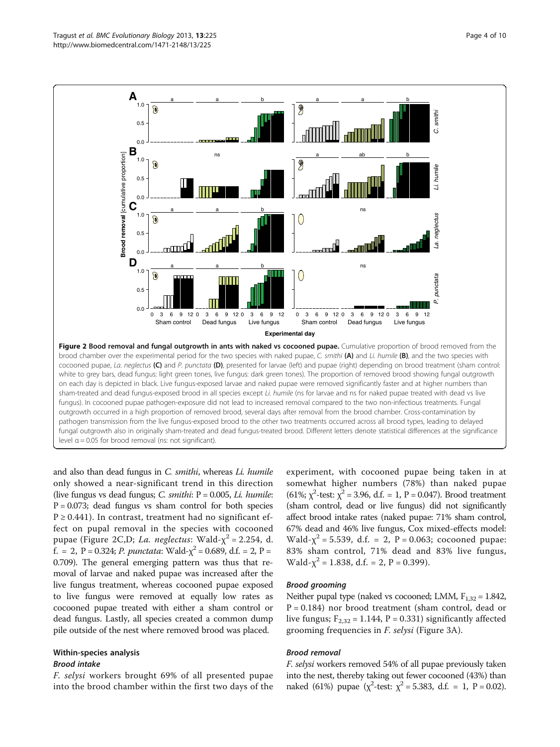<span id="page-3-0"></span>

and also than dead fungus in C. smithi, whereas Li. humile only showed a near-significant trend in this direction (live fungus vs dead fungus; C. smithi:  $P = 0.005$ , Li. humile:  $P = 0.073$ ; dead fungus vs sham control for both species  $P \ge 0.441$ ). In contrast, treatment had no significant effect on pupal removal in the species with cocooned pupae (Figure 2C,D; La. neglectus: Wald- $\chi^2$  = 2.254, d. f. = 2, P = 0.324; P. punctata: Wald- $\chi^2$  = 0.689, d.f. = 2, P = 0.709). The general emerging pattern was thus that removal of larvae and naked pupae was increased after the live fungus treatment, whereas cocooned pupae exposed to live fungus were removed at equally low rates as cocooned pupae treated with either a sham control or dead fungus. Lastly, all species created a common dump pile outside of the nest where removed brood was placed.

# Within-species analysis Brood intake

F. selysi workers brought 69% of all presented pupae into the brood chamber within the first two days of the

experiment, with cocooned pupae being taken in at somewhat higher numbers (78%) than naked pupae (61%;  $\chi^2$ -test:  $\chi^2$  = 3.96, d.f. = 1, P = 0.047). Brood treatment (sham control, dead or live fungus) did not significantly affect brood intake rates (naked pupae: 71% sham control, 67% dead and 46% live fungus, Cox mixed-effects model: Wald- $\chi^2$  = 5.539, d.f. = 2, P = 0.063; cocooned pupae: 83% sham control, 71% dead and 83% live fungus, Wald- $\chi^2$  = 1.838, d.f. = 2, P = 0.399).

#### Brood grooming

Neither pupal type (naked vs cocooned; LMM,  $F_{1,32} = 1.842$ ,  $P = 0.184$ ) nor brood treatment (sham control, dead or live fungus;  $F_{2,32} = 1.144$ ,  $P = 0.331$ ) significantly affected grooming frequencies in F. selysi (Figure [3A](#page-4-0)).

#### Brood removal

F. selysi workers removed 54% of all pupae previously taken into the nest, thereby taking out fewer cocooned (43%) than naked (61%) pupae ( $\chi^2$ -test:  $\chi^2$  = 5.383, d.f. = 1, P = 0.02).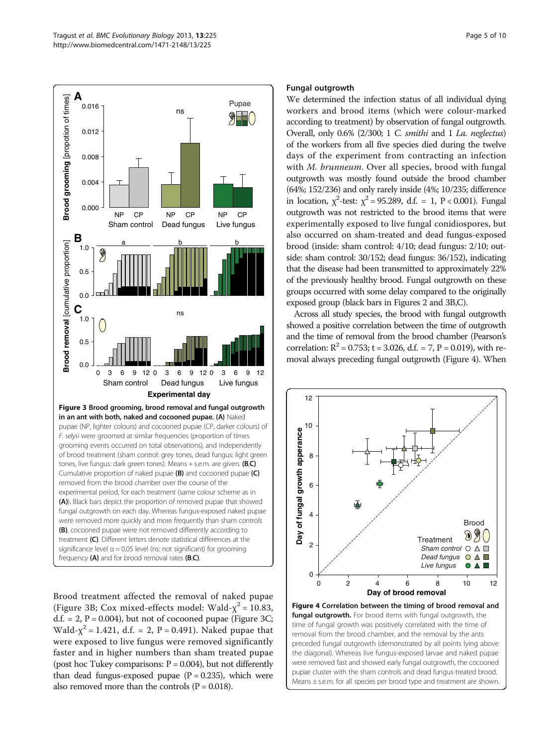<span id="page-4-0"></span>

Brood treatment affected the removal of naked pupae (Figure 3B; Cox mixed-effects model: Wald- $\chi^2$  = 10.83, d.f. = 2,  $P = 0.004$ ), but not of cocooned pupae (Figure 3C; Wald- $\chi^2$  = 1.421, d.f. = 2, P = 0.491). Naked pupae that were exposed to live fungus were removed significantly faster and in higher numbers than sham treated pupae (post hoc Tukey comparisons:  $P = 0.004$ ), but not differently than dead fungus-exposed pupae  $(P = 0.235)$ , which were also removed more than the controls  $(P = 0.018)$ .

#### Fungal outgrowth

We determined the infection status of all individual dying workers and brood items (which were colour-marked according to treatment) by observation of fungal outgrowth. Overall, only 0.6% (2/300; 1 C. smithi and 1 La. neglectus) of the workers from all five species died during the twelve days of the experiment from contracting an infection with *M. brunneum*. Over all species, brood with fungal outgrowth was mostly found outside the brood chamber (64%; 152/236) and only rarely inside (4%; 10/235; difference in location,  $\chi^2$ -test:  $\chi^2$  = 95.289, d.f. = 1, P < 0.001). Fungal outgrowth was not restricted to the brood items that were experimentally exposed to live fungal conidiospores, but also occurred on sham-treated and dead fungus-exposed brood (inside: sham control: 4/10; dead fungus: 2/10; outside: sham control: 30/152; dead fungus: 36/152), indicating that the disease had been transmitted to approximately 22% of the previously healthy brood. Fungal outgrowth on these groups occurred with some delay compared to the originally exposed group (black bars in Figures [2](#page-3-0) and 3B,C).

Across all study species, the brood with fungal outgrowth showed a positive correlation between the time of outgrowth and the time of removal from the brood chamber (Pearson's correlation:  $R^2 = 0.753$ ; t = 3.026, d.f. = 7, P = 0.019), with removal always preceding fungal outgrowth (Figure 4). When



fungal outgrowth. For brood items with fungal outgrowth, the time of fungal growth was positively correlated with the time of removal from the brood chamber, and the removal by the ants preceded fungal outgrowth (demonstrated by all points lying above the diagonal). Whereas live fungus-exposed larvae and naked pupae were removed fast and showed early fungal outgrowth, the cocooned pupae cluster with the sham controls and dead fungus-treated brood. Means ± s.e.m. for all species per brood type and treatment are shown.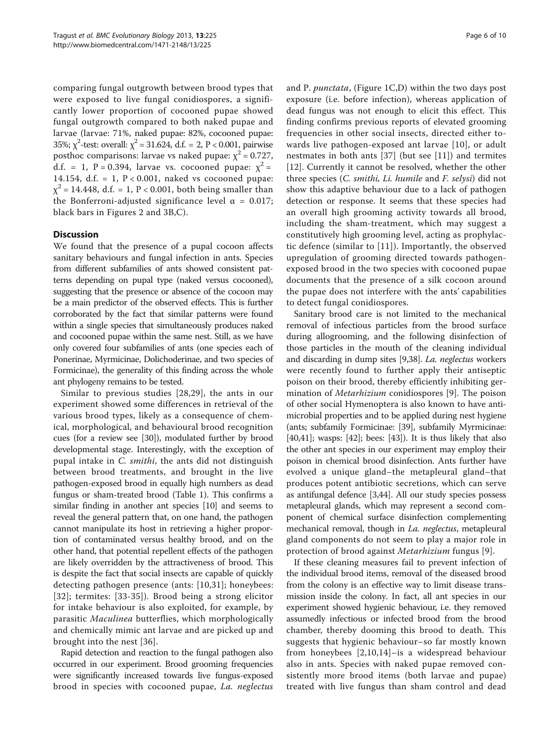comparing fungal outgrowth between brood types that were exposed to live fungal conidiospores, a significantly lower proportion of cocooned pupae showed fungal outgrowth compared to both naked pupae and larvae (larvae: 71%, naked pupae: 82%, cocooned pupae: 35%;  $\chi^2$ -test: overall:  $\chi^2$  = 31.624, d.f. = 2, P < 0.001, pairwise posthoc comparisons: larvae vs naked pupae:  $\chi^2$  = 0.727, d.f. = 1, P = 0.394, larvae vs. cocooned pupae:  $\chi^2$  = 14.154, d.f. = 1,  $P < 0.001$ , naked vs cocooned pupae:  $\chi^2$  = 14.448, d.f. = 1, P < 0.001, both being smaller than the Bonferroni-adjusted significance level  $\alpha = 0.017$ ; black bars in Figures [2](#page-3-0) and [3](#page-4-0)B,C).

## **Discussion**

We found that the presence of a pupal cocoon affects sanitary behaviours and fungal infection in ants. Species from different subfamilies of ants showed consistent patterns depending on pupal type (naked versus cocooned), suggesting that the presence or absence of the cocoon may be a main predictor of the observed effects. This is further corroborated by the fact that similar patterns were found within a single species that simultaneously produces naked and cocooned pupae within the same nest. Still, as we have only covered four subfamilies of ants (one species each of Ponerinae, Myrmicinae, Dolichoderinae, and two species of Formicinae), the generality of this finding across the whole ant phylogeny remains to be tested.

Similar to previous studies [\[28,](#page-8-0)[29](#page-9-0)], the ants in our experiment showed some differences in retrieval of the various brood types, likely as a consequence of chemical, morphological, and behavioural brood recognition cues (for a review see [[30](#page-9-0)]), modulated further by brood developmental stage. Interestingly, with the exception of pupal intake in C. smithi, the ants did not distinguish between brood treatments, and brought in the live pathogen-exposed brood in equally high numbers as dead fungus or sham-treated brood (Table [1\)](#page-2-0). This confirms a similar finding in another ant species [[10](#page-8-0)] and seems to reveal the general pattern that, on one hand, the pathogen cannot manipulate its host in retrieving a higher proportion of contaminated versus healthy brood, and on the other hand, that potential repellent effects of the pathogen are likely overridden by the attractiveness of brood. This is despite the fact that social insects are capable of quickly detecting pathogen presence (ants: [\[10,](#page-8-0)[31](#page-9-0)]; honeybees: [[32](#page-9-0)]; termites: [\[33-35](#page-9-0)]). Brood being a strong elicitor for intake behaviour is also exploited, for example, by parasitic Maculinea butterflies, which morphologically and chemically mimic ant larvae and are picked up and brought into the nest [\[36\]](#page-9-0).

Rapid detection and reaction to the fungal pathogen also occurred in our experiment. Brood grooming frequencies were significantly increased towards live fungus-exposed brood in species with cocooned pupae, La. neglectus and P. *punctata*, (Figure  $1C$ , D) within the two days post exposure (i.e. before infection), whereas application of dead fungus was not enough to elicit this effect. This finding confirms previous reports of elevated grooming frequencies in other social insects, directed either towards live pathogen-exposed ant larvae [[10\]](#page-8-0), or adult nestmates in both ants [\[37](#page-9-0)] (but see [[11\]](#page-8-0)) and termites [[12\]](#page-8-0). Currently it cannot be resolved, whether the other three species (C. smithi, Li. humile and F. selysi) did not show this adaptive behaviour due to a lack of pathogen detection or response. It seems that these species had an overall high grooming activity towards all brood, including the sham-treatment, which may suggest a constitutively high grooming level, acting as prophylactic defence (similar to [[11](#page-8-0)]). Importantly, the observed upregulation of grooming directed towards pathogenexposed brood in the two species with cocooned pupae documents that the presence of a silk cocoon around the pupae does not interfere with the ants' capabilities to detect fungal conidiospores.

Sanitary brood care is not limited to the mechanical removal of infectious particles from the brood surface during allogrooming, and the following disinfection of those particles in the mouth of the cleaning individual and discarding in dump sites [[9,](#page-8-0)[38](#page-9-0)]. La. neglectus workers were recently found to further apply their antiseptic poison on their brood, thereby efficiently inhibiting germination of Metarhizium conidiospores [[9\]](#page-8-0). The poison of other social Hymenoptera is also known to have antimicrobial properties and to be applied during nest hygiene (ants; subfamily Formicinae: [\[39\]](#page-9-0), subfamily Myrmicinae: [[40](#page-9-0),[41](#page-9-0)]; wasps:  $[42]$  $[42]$ ; bees:  $[43]$  $[43]$ ). It is thus likely that also the other ant species in our experiment may employ their poison in chemical brood disinfection. Ants further have evolved a unique gland–the metapleural gland–that produces potent antibiotic secretions, which can serve as antifungal defence [\[3](#page-8-0)[,44\]](#page-9-0). All our study species possess metapleural glands, which may represent a second component of chemical surface disinfection complementing mechanical removal, though in La. neglectus, metapleural gland components do not seem to play a major role in protection of brood against Metarhizium fungus [[9\]](#page-8-0).

If these cleaning measures fail to prevent infection of the individual brood items, removal of the diseased brood from the colony is an effective way to limit disease transmission inside the colony. In fact, all ant species in our experiment showed hygienic behaviour, i.e. they removed assumedly infectious or infected brood from the brood chamber, thereby dooming this brood to death. This suggests that hygienic behaviour–so far mostly known from honeybees [[2,10,14](#page-8-0)]–is a widespread behaviour also in ants. Species with naked pupae removed consistently more brood items (both larvae and pupae) treated with live fungus than sham control and dead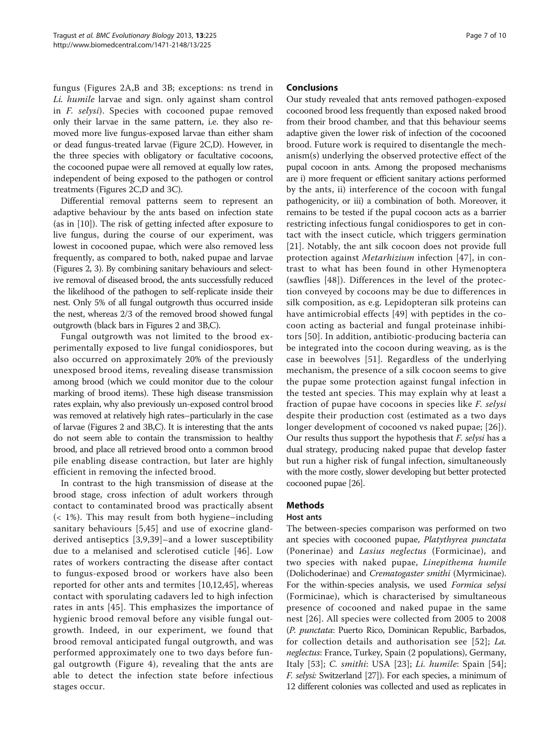fungus (Figures [2A](#page-3-0),B and [3B](#page-4-0); exceptions: ns trend in Li. humile larvae and sign. only against sham control in F. selysi). Species with cocooned pupae removed only their larvae in the same pattern, i.e. they also removed more live fungus-exposed larvae than either sham or dead fungus-treated larvae (Figure [2](#page-3-0)C,D). However, in the three species with obligatory or facultative cocoons, the cocooned pupae were all removed at equally low rates, independent of being exposed to the pathogen or control treatments (Figures [2C](#page-3-0),D and [3C](#page-4-0)).

Differential removal patterns seem to represent an adaptive behaviour by the ants based on infection state (as in [\[10](#page-8-0)]). The risk of getting infected after exposure to live fungus, during the course of our experiment, was lowest in cocooned pupae, which were also removed less frequently, as compared to both, naked pupae and larvae (Figures [2](#page-3-0), [3](#page-4-0)). By combining sanitary behaviours and selective removal of diseased brood, the ants successfully reduced the likelihood of the pathogen to self-replicate inside their nest. Only 5% of all fungal outgrowth thus occurred inside the nest, whereas 2/3 of the removed brood showed fungal outgrowth (black bars in Figures [2](#page-3-0) and [3](#page-4-0)B,C).

Fungal outgrowth was not limited to the brood experimentally exposed to live fungal conidiospores, but also occurred on approximately 20% of the previously unexposed brood items, revealing disease transmission among brood (which we could monitor due to the colour marking of brood items). These high disease transmission rates explain, why also previously un-exposed control brood was removed at relatively high rates–particularly in the case of larvae (Figures [2](#page-3-0) and [3B](#page-4-0),C). It is interesting that the ants do not seem able to contain the transmission to healthy brood, and place all retrieved brood onto a common brood pile enabling disease contraction, but later are highly efficient in removing the infected brood.

In contrast to the high transmission of disease at the brood stage, cross infection of adult workers through contact to contaminated brood was practically absent (< 1%). This may result from both hygiene–including sanitary behaviours [[5,](#page-8-0)[45](#page-9-0)] and use of exocrine glandderived antiseptics [[3,9](#page-8-0)[,39\]](#page-9-0)–and a lower susceptibility due to a melanised and sclerotised cuticle [\[46](#page-9-0)]. Low rates of workers contracting the disease after contact to fungus-exposed brood or workers have also been reported for other ants and termites [[10,12](#page-8-0),[45\]](#page-9-0), whereas contact with sporulating cadavers led to high infection rates in ants [[45](#page-9-0)]. This emphasizes the importance of hygienic brood removal before any visible fungal outgrowth. Indeed, in our experiment, we found that brood removal anticipated fungal outgrowth, and was performed approximately one to two days before fungal outgrowth (Figure [4\)](#page-4-0), revealing that the ants are able to detect the infection state before infectious stages occur.

#### **Conclusions**

Our study revealed that ants removed pathogen-exposed cocooned brood less frequently than exposed naked brood from their brood chamber, and that this behaviour seems adaptive given the lower risk of infection of the cocooned brood. Future work is required to disentangle the mechanism(s) underlying the observed protective effect of the pupal cocoon in ants. Among the proposed mechanisms are i) more frequent or efficient sanitary actions performed by the ants, ii) interference of the cocoon with fungal pathogenicity, or iii) a combination of both. Moreover, it remains to be tested if the pupal cocoon acts as a barrier restricting infectious fungal conidiospores to get in contact with the insect cuticle, which triggers germination [[21](#page-8-0)]. Notably, the ant silk cocoon does not provide full protection against Metarhizium infection [[47\]](#page-9-0), in contrast to what has been found in other Hymenoptera (sawflies [\[48\]](#page-9-0)). Differences in the level of the protection conveyed by cocoons may be due to differences in silk composition, as e.g. Lepidopteran silk proteins can have antimicrobial effects [\[49\]](#page-9-0) with peptides in the cocoon acting as bacterial and fungal proteinase inhibitors [\[50](#page-9-0)]. In addition, antibiotic-producing bacteria can be integrated into the cocoon during weaving, as is the case in beewolves [\[51\]](#page-9-0). Regardless of the underlying mechanism, the presence of a silk cocoon seems to give the pupae some protection against fungal infection in the tested ant species. This may explain why at least a fraction of pupae have cocoons in species like F. selysi despite their production cost (estimated as a two days longer development of cocooned vs naked pupae; [[26\]](#page-8-0)). Our results thus support the hypothesis that F. selysi has a dual strategy, producing naked pupae that develop faster but run a higher risk of fungal infection, simultaneously with the more costly, slower developing but better protected cocooned pupae [\[26](#page-8-0)].

# Methods

### Host ants

The between-species comparison was performed on two ant species with cocooned pupae, Platythyrea punctata (Ponerinae) and Lasius neglectus (Formicinae), and two species with naked pupae, Linepithema humile (Dolichoderinae) and Crematogaster smithi (Myrmicinae). For the within-species analysis, we used Formica selysi (Formicinae), which is characterised by simultaneous presence of cocooned and naked pupae in the same nest [[26\]](#page-8-0). All species were collected from 2005 to 2008 (P. punctata: Puerto Rico, Dominican Republic, Barbados, for collection details and authorisation see [[52\]](#page-9-0); La. neglectus: France, Turkey, Spain (2 populations), Germany, Italy [[53\]](#page-9-0); C. smithi: USA [[23\]](#page-8-0); Li. humile: Spain [[54](#page-9-0)]; F. selysi: Switzerland [\[27\]](#page-8-0)). For each species, a minimum of 12 different colonies was collected and used as replicates in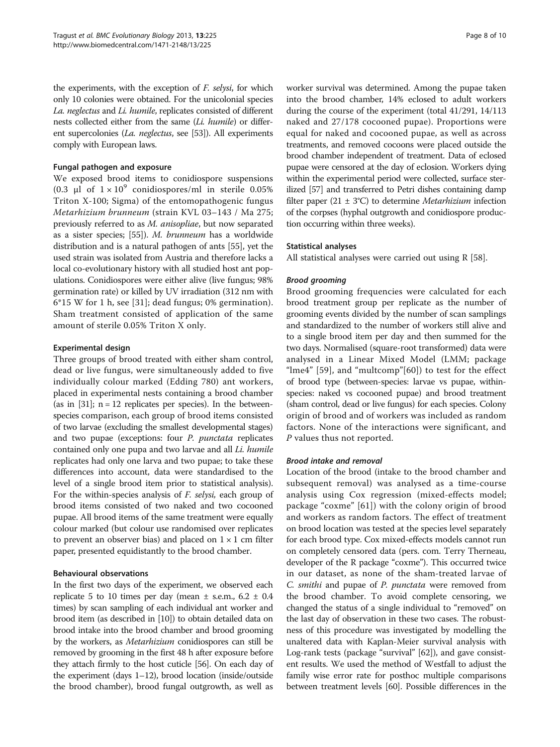the experiments, with the exception of F. selysi, for which only 10 colonies were obtained. For the unicolonial species La. neglectus and Li. humile, replicates consisted of different nests collected either from the same (Li. humile) or different supercolonies (La. neglectus, see [[53](#page-9-0)]). All experiments comply with European laws.

#### Fungal pathogen and exposure

We exposed brood items to conidiospore suspensions (0.3 μl of  $1 \times 10^9$  conidiospores/ml in sterile 0.05% Triton X-100; Sigma) of the entomopathogenic fungus Metarhizium brunneum (strain KVL 03–143 / Ma 275; previously referred to as M. anisopliae, but now separated as a sister species; [\[55\]](#page-9-0)). M. brunneum has a worldwide distribution and is a natural pathogen of ants [\[55\]](#page-9-0), yet the used strain was isolated from Austria and therefore lacks a local co-evolutionary history with all studied host ant populations. Conidiospores were either alive (live fungus; 98% germination rate) or killed by UV irradiation (312 nm with 6\*15 W for 1 h, see [[31\]](#page-9-0); dead fungus; 0% germination). Sham treatment consisted of application of the same amount of sterile 0.05% Triton X only.

#### Experimental design

Three groups of brood treated with either sham control, dead or live fungus, were simultaneously added to five individually colour marked (Edding 780) ant workers, placed in experimental nests containing a brood chamber (as in [\[31\]](#page-9-0);  $n = 12$  replicates per species). In the betweenspecies comparison, each group of brood items consisted of two larvae (excluding the smallest developmental stages) and two pupae (exceptions: four P. punctata replicates contained only one pupa and two larvae and all Li. humile replicates had only one larva and two pupae; to take these differences into account, data were standardised to the level of a single brood item prior to statistical analysis). For the within-species analysis of F. selysi, each group of brood items consisted of two naked and two cocooned pupae. All brood items of the same treatment were equally colour marked (but colour use randomised over replicates to prevent an observer bias) and placed on  $1 \times 1$  cm filter paper, presented equidistantly to the brood chamber.

#### Behavioural observations

In the first two days of the experiment, we observed each replicate 5 to 10 times per day (mean  $\pm$  s.e.m., 6.2  $\pm$  0.4 times) by scan sampling of each individual ant worker and brood item (as described in [[10](#page-8-0)]) to obtain detailed data on brood intake into the brood chamber and brood grooming by the workers, as Metarhizium conidiospores can still be removed by grooming in the first 48 h after exposure before they attach firmly to the host cuticle [\[56\]](#page-9-0). On each day of the experiment (days 1–12), brood location (inside/outside the brood chamber), brood fungal outgrowth, as well as worker survival was determined. Among the pupae taken into the brood chamber, 14% eclosed to adult workers during the course of the experiment (total 41/291, 14/113 naked and 27/178 cocooned pupae). Proportions were equal for naked and cocooned pupae, as well as across treatments, and removed cocoons were placed outside the brood chamber independent of treatment. Data of eclosed pupae were censored at the day of eclosion. Workers dying within the experimental period were collected, surface sterilized [[57\]](#page-9-0) and transferred to Petri dishes containing damp filter paper (21  $\pm$  3°C) to determine *Metarhizium* infection of the corpses (hyphal outgrowth and conidiospore production occurring within three weeks).

#### Statistical analyses

All statistical analyses were carried out using R [[58\]](#page-9-0).

#### Brood grooming

Brood grooming frequencies were calculated for each brood treatment group per replicate as the number of grooming events divided by the number of scan samplings and standardized to the number of workers still alive and to a single brood item per day and then summed for the two days. Normalised (square-root transformed) data were analysed in a Linear Mixed Model (LMM; package "lme4" [[59\]](#page-9-0), and "multcomp"[\[60\]](#page-9-0)) to test for the effect of brood type (between-species: larvae vs pupae, withinspecies: naked vs cocooned pupae) and brood treatment (sham control, dead or live fungus) for each species. Colony origin of brood and of workers was included as random factors. None of the interactions were significant, and P values thus not reported.

#### Brood intake and removal

Location of the brood (intake to the brood chamber and subsequent removal) was analysed as a time-course analysis using Cox regression (mixed-effects model; package "coxme" [[61\]](#page-9-0)) with the colony origin of brood and workers as random factors. The effect of treatment on brood location was tested at the species level separately for each brood type. Cox mixed-effects models cannot run on completely censored data (pers. com. Terry Therneau, developer of the R package "coxme"). This occurred twice in our dataset, as none of the sham-treated larvae of C. smithi and pupae of P. punctata were removed from the brood chamber. To avoid complete censoring, we changed the status of a single individual to "removed" on the last day of observation in these two cases. The robustness of this procedure was investigated by modelling the unaltered data with Kaplan-Meier survival analysis with Log-rank tests (package "survival" [[62](#page-9-0)]), and gave consistent results. We used the method of Westfall to adjust the family wise error rate for posthoc multiple comparisons between treatment levels [\[60\]](#page-9-0). Possible differences in the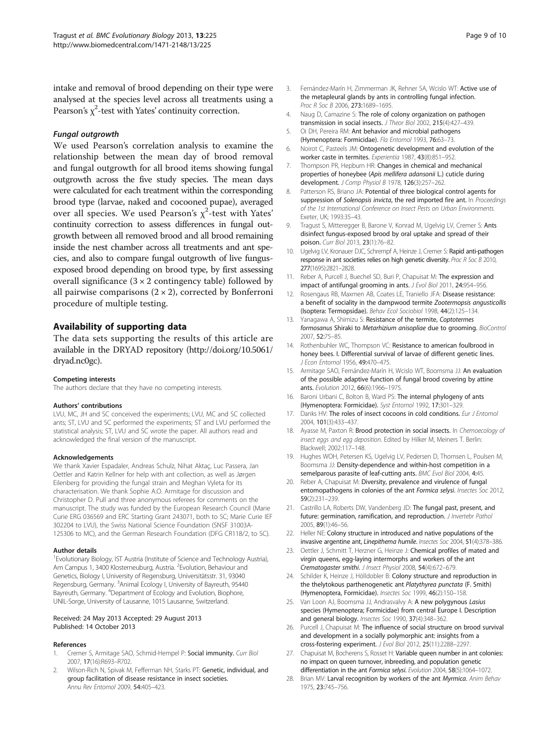<span id="page-8-0"></span>intake and removal of brood depending on their type were analysed at the species level across all treatments using a Pearson's  $\chi^2$ -test with Yates' continuity correction.

#### Fungal outgrowth

We used Pearson's correlation analysis to examine the relationship between the mean day of brood removal and fungal outgrowth for all brood items showing fungal outgrowth across the five study species. The mean days were calculated for each treatment within the corresponding brood type (larvae, naked and cocooned pupae), averaged over all species. We used Pearson's  $\chi^2$ -test with Yates' continuity correction to assess differences in fungal outgrowth between all removed brood and all brood remaining inside the nest chamber across all treatments and ant species, and also to compare fungal outgrowth of live fungusexposed brood depending on brood type, by first assessing overall significance  $(3 \times 2 \text{ contingency table})$  followed by all pairwise comparisons  $(2 \times 2)$ , corrected by Bonferroni procedure of multiple testing.

### Availability of supporting data

The data sets supporting the results of this article are available in the DRYAD repository [\(http://doi.org/10.5061/](http://doi.org/10.5061/dryad.nc0gc) [dryad.nc0gc](http://doi.org/10.5061/dryad.nc0gc)).

#### Competing interests

The authors declare that they have no competing interests.

#### Authors' contributions

LVU, MC, JH and SC conceived the experiments; LVU, MC and SC collected ants; ST, LVU and SC performed the experiments; ST and LVU performed the statistical analysis; ST, LVU and SC wrote the paper. All authors read and acknowledged the final version of the manuscript.

#### Acknowledgements

We thank Xavier Espadaler, Andreas Schulz, Nihat Aktaç, Luc Passera, Jan Oettler and Katrin Kellner for help with ant collection, as well as Jørgen Eilenberg for providing the fungal strain and Meghan Vyleta for its characterisation. We thank Sophie A.O. Armitage for discussion and Christopher D. Pull and three anonymous referees for comments on the manuscript. The study was funded by the European Research Council (Marie Curie ERG 036569 and ERC Starting Grant 243071, both to SC; Marie Curie IEF 302204 to LVU), the Swiss National Science Foundation (SNSF 31003A-125306 to MC), and the German Research Foundation (DFG CR118/2, to SC).

#### Author details

<sup>1</sup> Evolutionary Biology, IST Austria (Institute of Science and Technology Austria), Am Campus 1, 3400 Klosterneuburg, Austria. <sup>2</sup> Evolution, Behaviour and Genetics, Biology I, University of Regensburg, Universitätsstr. 31, 93040 Regensburg, Germany. <sup>3</sup>Animal Ecology I, University of Bayreuth, 95440 Bayreuth, Germany. <sup>4</sup>Department of Ecology and Evolution, Biophore, UNIL-Sorge, University of Lausanne, 1015 Lausanne, Switzerland.

#### Received: 24 May 2013 Accepted: 29 August 2013 Published: 14 October 2013

#### References

- 1. Cremer S, Armitage SAO, Schmid-Hempel P: Social immunity. Curr Biol 2007, 17(16):R693–R702.
- Wilson-Rich N, Spivak M, Fefferman NH, Starks PT: Genetic, individual, and group facilitation of disease resistance in insect societies. Annu Rev Entomol 2009, 54:405–423.
- 3. Fernández-Marín H, Zimmerman JK, Rehner SA, Wcislo WT: Active use of the metapleural glands by ants in controlling fungal infection. Proc R Soc B 2006, 273:1689–1695.
- 4. Naug D, Camazine S: The role of colony organization on pathogen transmission in social insects. J Theor Biol 2002, 215(4):427–439.
- 5. Oi DH, Pereira RM: Ant behavior and microbial pathogens (Hymenoptera: Formicidae). Fla Entomol 1993, 76:63–73.
- 6. Noirot C, Pasteels JM: Ontogenetic development and evolution of the worker caste in termites. Experientia 1987, 43(8):851–952.
- 7. Thompson PR, Hepburn HR: Changes in chemical and mechanical properties of honeybee (Apis mellifera adansonii L.) cuticle during development. J Comp Physiol B 1978, 126(3):257–262.
- 8. Patterson RS, Briano JA: Potential of three biological control agents for suppression of Solenopsis invicta, the red imported fire ant. In Proceedings of the 1st International Conference on Insect Pests on Urban Environments. Exeter, UK; 1993:35–43.
- 9. Tragust S, Mitteregger B, Barone V, Konrad M, Ugelvig LV, Cremer S: Ants disinfect fungus-exposed brood by oral uptake and spread of their poison. Curr Biol 2013, 23(1):76–82.
- 10. Ugelvig LV, Kronauer DJC, Schrempf A, Heinze J, Cremer S: Rapid anti-pathogen response in ant societies relies on high genetic diversity. Proc R Soc B 2010, 277(1695):2821–2828.
- 11. Reber A, Purcell J, Buechel SD, Buri P, Chapuisat M: The expression and impact of antifungal grooming in ants. J Evol Biol 2011, 24:954-956.
- 12. Rosengaus RB, Maxmen AB, Coates LE, Traniello JFA: Disease resistance: a benefit of sociality in the dampwood termite Zootermopsis angusticollis (Isoptera: Termopsidae). Behav Ecol Sociobiol 1998, 44(2):125–134.
- 13. Yanagawa A, Shimizu S: Resistance of the termite, Coptotermes formosanus Shiraki to Metarhizium anisopliae due to grooming. BioControl 2007, 52:75–85.
- 14. Rothenbuhler WC, Thompson VC: Resistance to american foulbrood in honey bees. I. Differential survival of larvae of different genetic lines. J Econ Entomol 1956, 49:470–475.
- 15. Armitage SAO, Fernández-Marín H, Wcislo WT, Boomsma JJ: An evaluation of the possible adaptive function of fungal brood covering by attine ants. Evolution 2012, 66(6):1966–1975.
- 16. Baroni Urbani C, Bolton B, Ward PS: The internal phylogeny of ants (Hymenoptera: Formicidae). Syst Entomol 1992, 17:301–329.
- 17. Danks HV: The roles of insect cocoons in cold conditions. Eur J Entomol 2004, 101(3):433–437.
- 18. Ayasse M, Paxton R: Brood protection in social insects. In Chemoecology of insect eggs and egg deposition. Edited by Hilker M, Meiners T. Berlin: Blackwell; 2002:117–148.
- 19. Hughes WOH, Petersen KS, Ugelvig LV, Pedersen D, Thomsen L, Poulsen M, Boomsma JJ: Density-dependence and within-host competition in a semelparous parasite of leaf-cutting ants. BMC Evol Biol 2004, 4:45.
- 20. Reber A, Chapuisat M: Diversity, prevalence and virulence of fungal entomopathogens in colonies of the ant Formica selysi. Insectes Soc 2012, 59(2):231–239.
- 21. Castrillo LA, Roberts DW, Vandenberg JD: The fungal past, present, and future: germination, ramification, and reproduction. *J Invertebr Pathol* 2005, 89(1):46–56.
- 22. Heller NE: Colony structure in introduced and native populations of the invasive argentine ant, Linepithema humile. Insectes Soc 2004, 51(4):378–386.
- 23. Oettler J, Schmitt T, Herzner G, Heinze J: Chemical profiles of mated and virgin queens, egg-laying intermorphs and workers of the ant Crematogaster smithi. J Insect Physiol 2008, 54(4):672–679.
- 24. Schilder K, Heinze J, Hölldobler B: Colony structure and reproduction in the thelytokous parthenogenetic ant Platythyrea punctata (F. Smith) (Hymenoptera, Formicidae). Insectes Soc 1999, 46(2):150–158.
- 25. Van Loon AJ, Boomsma JJ, Andrasvalvy A: A new polygynous Lasius species (Hymenoptera; Formicidae) from central Europe I. Description and general biology. Insectes Soc 1990, 37(4):348–362.
- 26. Purcell J, Chapuisat M: The influence of social structure on brood survival and development in a socially polymorphic ant: insights from a cross-fostering experiment. J Evol Biol 2012, 25(11):2288–2297.
- 27. Chapuisat M, Bocherens S, Rosset H: Variable queen number in ant colonies: no impact on queen turnover, inbreeding, and population genetic differentiation in the ant Formica selysi. Evolution 2004, 58(5):1064-1072.
- 28. Brian MV: Larval recognition by workers of the ant Myrmica. Anim Behav 1975, 23:745–756.